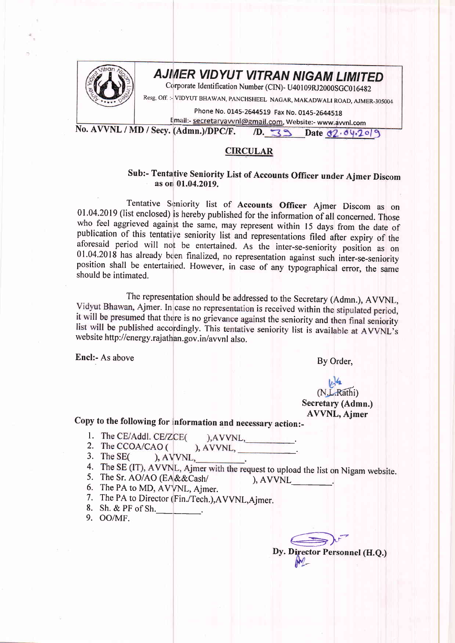

## AJMER VIDYUT VITRAN NIGAM LIMITED

Corporate Identification Number (CIN)- U40109RJ2000SGC016482

Resg. Off. :- VIDYUT BHAWAN, PANCHSHEEL NAGAR, MAKADWALI ROAD, AJMER-305004

Phone No. 0145-2644519 Fax No. 0145-2644518

Email:- secretaryavvnl@gmail.com, Website:- www.avvnl.com No. AVVNL / MD / Secy. (Admn.)/DPC/F.

10. 39 Date 02.04.2019

## **CIRCULAR**

## Sub:- Tentative Seniority List of Accounts Officer under Ajmer Discom as on 01.04.2019.

Tentative Seniority list of Accounts Officer Ajmer Discom as on 01.04.2019 (list enclosed) is hereby published for the information of all concerned. Those who feel aggrieved against the same, may represent within 15 days from the date of publication of this tentative seniority list and representations filed after expiry of the aforesaid period will not be entertained. As the inter-se-seniority position as on 01.04.2018 has already been finalized, no representation against such inter-se-seniority position shall be entertained. However, in case of any typographical error, the same should be intimated.

The representation should be addressed to the Secretary (Admn.), AVVNL, Vidyut Bhawan, Ajmer. In case no representation is received within the stipulated period, it will be presumed that there is no grievance against the seniority and then final seniority list will be published accordingly. This tentative seniority list is available at AVVNL's website http://energy.rajathan.gov.in/avvnl also.

Encl:- As above

By Order,

(N.L.Rathi) Secretary (Admn.) **AVVNL**, Ajmer

Copy to the following for information and necessary action:-

- 1. The CE/Addl. CE/ZCE(  $AVVNL$ ,
- 2. The CCOA/CAO (  $AVVNL$ ,  $\qquad \qquad$
- 3. The SEC  $A VVNL$
- 4. The SE (IT), AVVNL, Ajmer with the request to upload the list on Nigam website.
- 5. The Sr. AO/AO (EA&&Cash/ ), AVVNL
- 6. The PA to MD, AVVNL, Ajmer.
- 7. The PA to Director (Fin./Tech.), AVVNL, Ajmer.
- 8. Sh. & PF of Sh.
- 9. OO/MF.

 $\implies$ Dy. Director Personnel (H.Q.)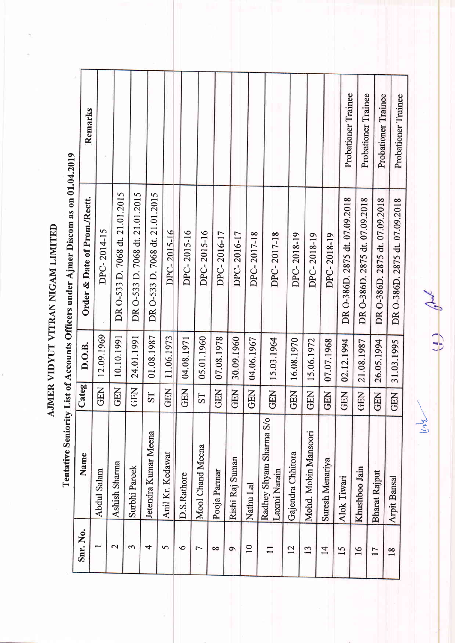AJMER VIDYUT VITRAN NIGAM LIMITED

Probationer Trainee Probationer Trainee Probationer Trainee Probationer Trainee Remarks DR O-533 D. 7068 dt. 21.01.2015 DR O-533 D. 7068 dt. 21.01.2015 DR O-533 D. 7068 dt. 21.01.2015 DR 0-386D. 2875 dt. 07.09.2018 DR O-386D. 2875 dt. 07.09.2018 DR 0-386D. 2875 dt. 07.09.2018 DR 0-386D. 2875 dt. 07.09.2018 Order & Date of Prom./Rectt. DPC-2014-15 DPC-2015-16 DPC-2015-16 DPC-2015-16 DPC-2016-17 DPC-2016-17 DPC-2017-18 DPC-2017-18 DPC-2018-19 DPC-2018-19 DPC-2018-19 10.10.1991 24.01.1991 12.09.1969 01.08.1987 GEN | 11.06.1973 07.08.1978 26.05.1994 05.01.1960 04.08.1971 30.09.1960 GEN 02.12.1994 GEN 21.08.1987 31.03.1995 04.06.1967 15.03.1964 16.08.1970 15.06.1972 07.07.1968 D.O.B. GEN<sup></sup> Categ **GEN** GEN<sup></sup> GEN<sup>I</sup> GEN | GEN GEN<sup></sup> GEN | GEN | GEN | GEN<sup>1</sup> GEN<sup></sup> GEN<sup></sup> ST ST Radhey Shyam Sharma S/o Jetendra Kumar Meena Mohd. Mobin Mansoori Mool Chand Meena Gajendra Chhitora Name Anil Kr. Kedawat Rishi Raj Suman Suresh Menariya Ashish Sharma Khushboo Jain Surbhi Pareek Abdul Salam Laxmi Narain Pooja Parmar **Bharat Rajput** D.S.Rathore Alok Tiwari Arpit Bansal Nathu Lal Snr. No.  $\mathbf{\Omega}$  $\overline{10}$  $\tilde{ }$  $\overline{4}$  $\overline{5}$  $\circ$  $\Box$  $\overline{12}$  $\overline{13}$  $14$ 15  $\overline{C}$  $\infty$  $\sigma$  $16$  $\frac{8}{10}$  $17$ 

 $\mathcal{R}^{\nu}$ 

Tentative Seniority List of Accounts Officers under Ajmer Discom as on 01.04.2019